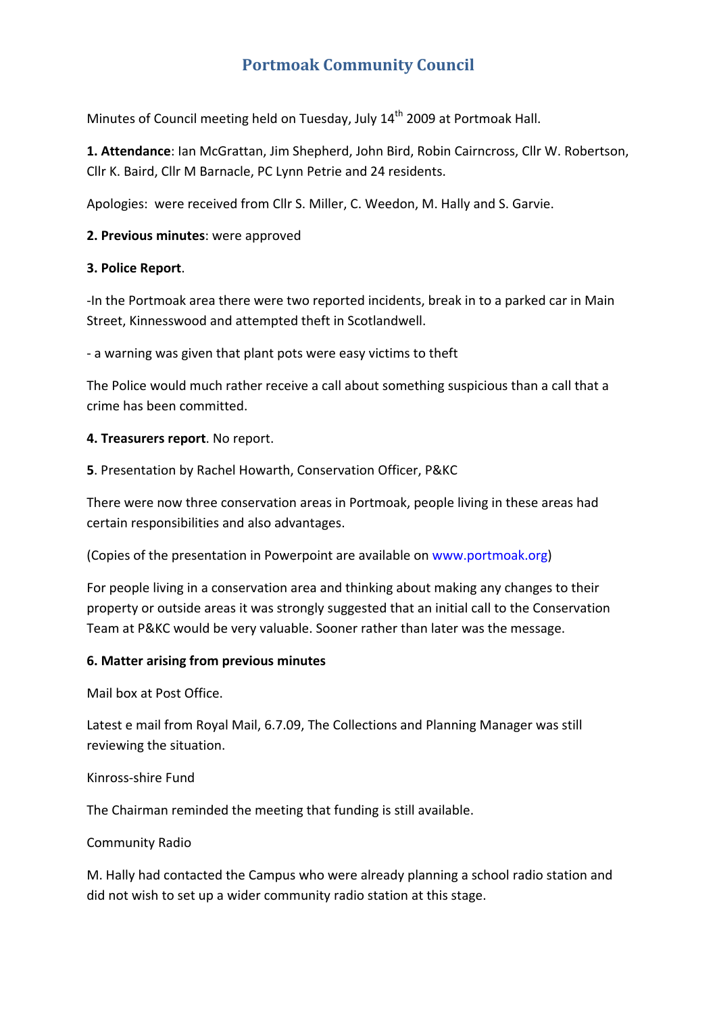# **Portmoak Community Council**

Minutes of Council meeting held on Tuesday, July 14<sup>th</sup> 2009 at Portmoak Hall.

**1. Attendance**: Ian McGrattan, Jim Shepherd, John Bird, Robin Cairncross, Cllr W. Robertson, Cllr K. Baird, Cllr M Barnacle, PC Lynn Petrie and 24 residents.

Apologies: were received from Cllr S. Miller, C. Weedon, M. Hally and S. Garvie.

#### **2. Previous minutes**: were approved

#### **3. Police Report**.

‐In the Portmoak area there were two reported incidents, break in to a parked car in Main Street, Kinnesswood and attempted theft in Scotlandwell.

‐ a warning was given that plant pots were easy victims to theft

The Police would much rather receive a call about something suspicious than a call that a crime has been committed.

#### **4. Treasurers report**. No report.

**5**. Presentation by Rachel Howarth, Conservation Officer, P&KC

There were now three conservation areas in Portmoak, people living in these areas had certain responsibilities and also advantages.

(Copies of the presentation in Powerpoint are available on www.portmoak.org)

For people living in a conservation area and thinking about making any changes to their property or outside areas it was strongly suggested that an initial call to the Conservation Team at P&KC would be very valuable. Sooner rather than later was the message.

#### **6. Matter arising from previous minutes**

Mail box at Post Office.

Latest e mail from Royal Mail, 6.7.09, The Collections and Planning Manager was still reviewing the situation.

#### Kinross‐shire Fund

The Chairman reminded the meeting that funding is still available.

## Community Radio

M. Hally had contacted the Campus who were already planning a school radio station and did not wish to set up a wider community radio station at this stage.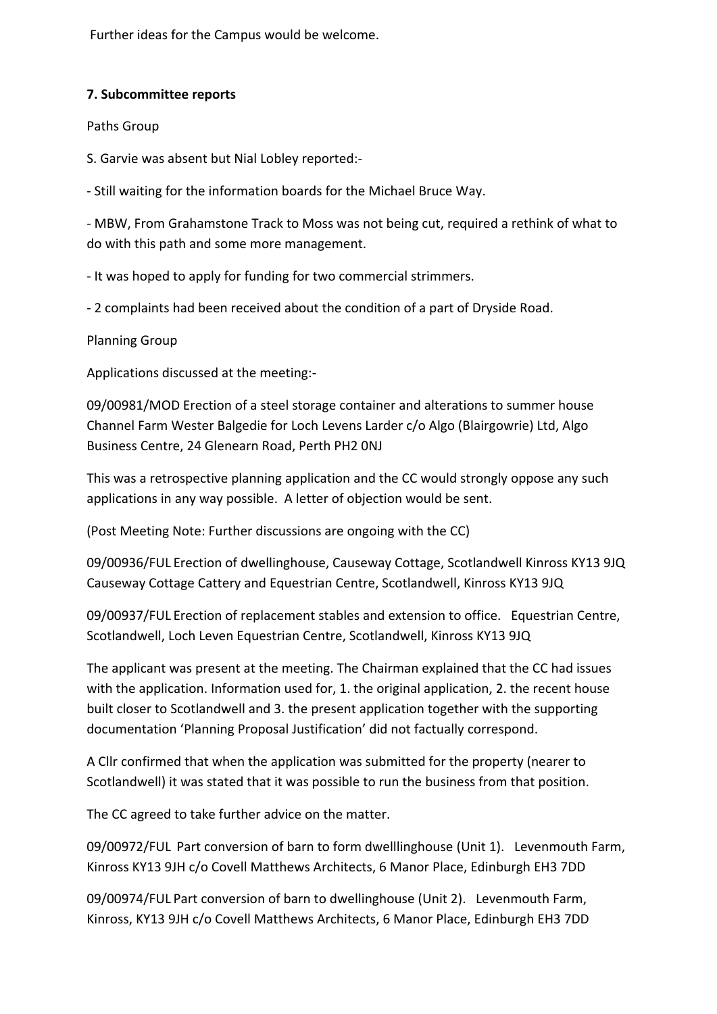Further ideas for the Campus would be welcome.

## **7. Subcommittee reports**

Paths Group

S. Garvie was absent but Nial Lobley reported:‐

‐ Still waiting for the information boards for the Michael Bruce Way.

‐ MBW, From Grahamstone Track to Moss was not being cut, required a rethink of what to do with this path and some more management.

‐ It was hoped to apply for funding for two commercial strimmers.

‐ 2 complaints had been received about the condition of a part of Dryside Road.

Planning Group

Applications discussed at the meeting:‐

09/00981/MOD Erection of a steel storage container and alterations to summer house Channel Farm Wester Balgedie for Loch Levens Larder c/o Algo (Blairgowrie) Ltd, Algo Business Centre, 24 Glenearn Road, Perth PH2 0NJ

This was a retrospective planning application and the CC would strongly oppose any such applications in any way possible. A letter of objection would be sent.

(Post Meeting Note: Further discussions are ongoing with the CC)

09/00936/FUL Erection of dwellinghouse, Causeway Cottage, Scotlandwell Kinross KY13 9JQ Causeway Cottage Cattery and Equestrian Centre, Scotlandwell, Kinross KY13 9JQ

09/00937/FUL Erection of replacement stables and extension to office. Equestrian Centre, Scotlandwell, Loch Leven Equestrian Centre, Scotlandwell, Kinross KY13 9JQ

The applicant was present at the meeting. The Chairman explained that the CC had issues with the application. Information used for, 1. the original application, 2. the recent house built closer to Scotlandwell and 3. the present application together with the supporting documentation 'Planning Proposal Justification' did not factually correspond.

A Cllr confirmed that when the application was submitted for the property (nearer to Scotlandwell) it was stated that it was possible to run the business from that position.

The CC agreed to take further advice on the matter.

09/00972/FUL Part conversion of barn to form dwelllinghouse (Unit 1). Levenmouth Farm, Kinross KY13 9JH c/o Covell Matthews Architects, 6 Manor Place, Edinburgh EH3 7DD

09/00974/FUL Part conversion of barn to dwellinghouse (Unit 2). Levenmouth Farm, Kinross, KY13 9JH c/o Covell Matthews Architects, 6 Manor Place, Edinburgh EH3 7DD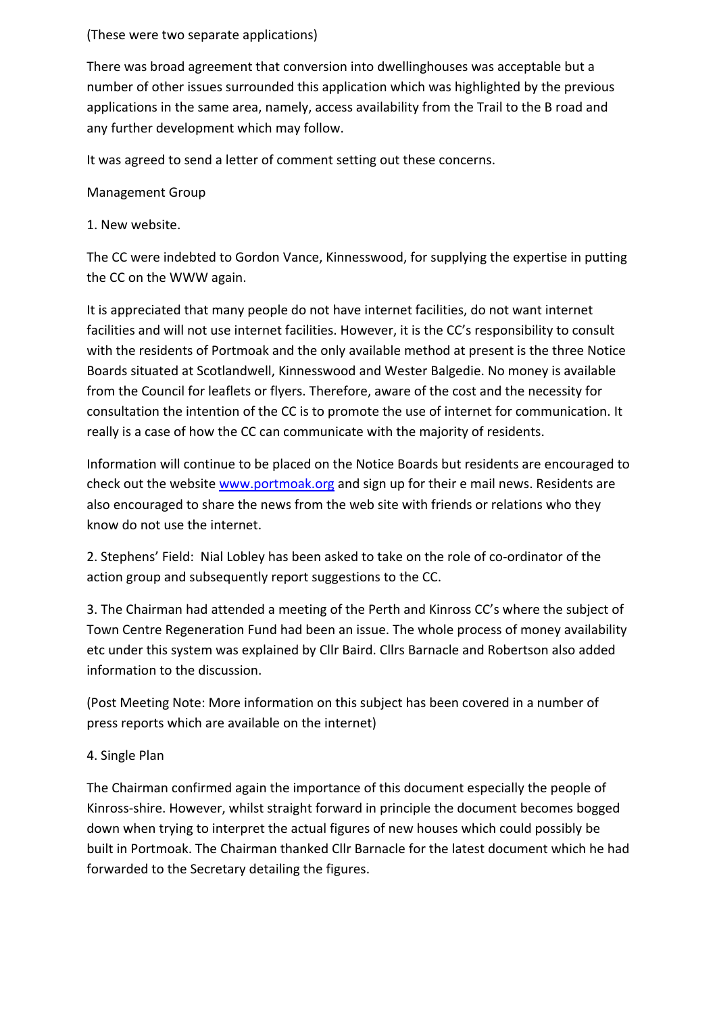## (These were two separate applications)

There was broad agreement that conversion into dwellinghouses was acceptable but a number of other issues surrounded this application which was highlighted by the previous applications in the same area, namely, access availability from the Trail to the B road and any further development which may follow.

It was agreed to send a letter of comment setting out these concerns.

Management Group

1. New website.

The CC were indebted to Gordon Vance, Kinnesswood, for supplying the expertise in putting the CC on the WWW again.

It is appreciated that many people do not have internet facilities, do not want internet facilities and will not use internet facilities. However, it is the CC's responsibility to consult with the residents of Portmoak and the only available method at present is the three Notice Boards situated at Scotlandwell, Kinnesswood and Wester Balgedie. No money is available from the Council for leaflets or flyers. Therefore, aware of the cost and the necessity for consultation the intention of the CC is to promote the use of internet for communication. It really is a case of how the CC can communicate with the majority of residents.

Information will continue to be placed on the Notice Boards but residents are encouraged to check out the website www.portmoak.org and sign up for their e mail news. Residents are also encouraged to share the news from the web site with friends or relations who they know do not use the internet.

2. Stephens' Field: Nial Lobley has been asked to take on the role of co-ordinator of the action group and subsequently report suggestions to the CC.

3. The Chairman had attended a meeting of the Perth and Kinross CC's where the subject of Town Centre Regeneration Fund had been an issue. The whole process of money availability etc under this system was explained by Cllr Baird. Cllrs Barnacle and Robertson also added information to the discussion.

(Post Meeting Note: More information on this subject has been covered in a number of press reports which are available on the internet)

# 4. Single Plan

The Chairman confirmed again the importance of this document especially the people of Kinross‐shire. However, whilst straight forward in principle the document becomes bogged down when trying to interpret the actual figures of new houses which could possibly be built in Portmoak. The Chairman thanked Cllr Barnacle for the latest document which he had forwarded to the Secretary detailing the figures.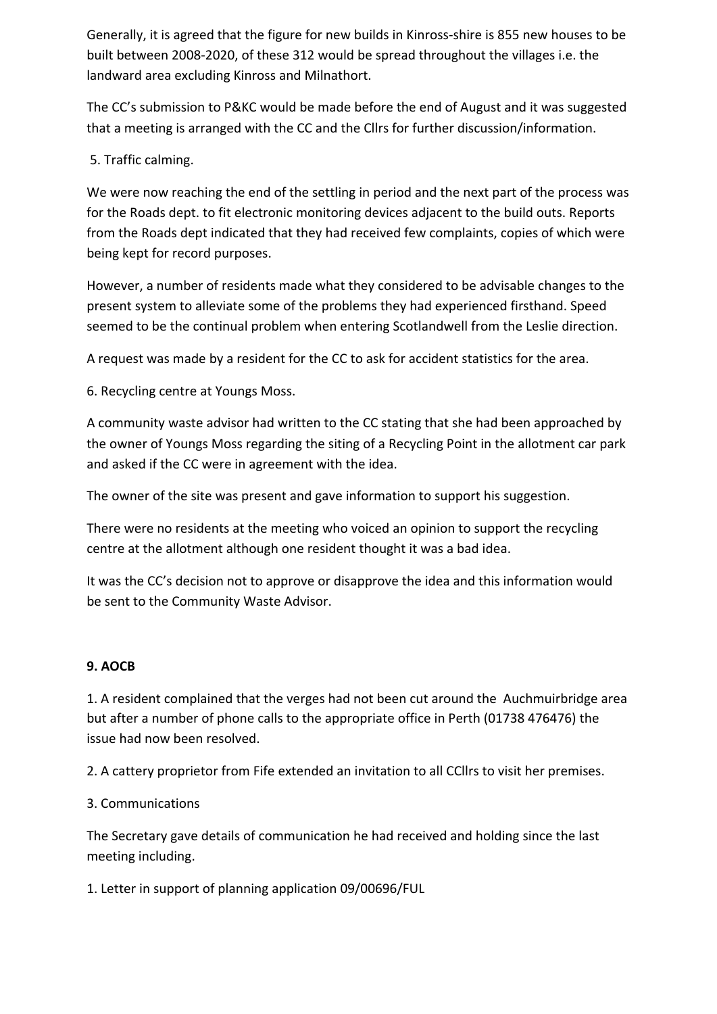Generally, it is agreed that the figure for new builds in Kinross‐shire is 855 new houses to be built between 2008‐2020, of these 312 would be spread throughout the villages i.e. the landward area excluding Kinross and Milnathort.

The CC's submission to P&KC would be made before the end of August and it was suggested that a meeting is arranged with the CC and the Cllrs for further discussion/information.

## 5. Traffic calming.

We were now reaching the end of the settling in period and the next part of the process was for the Roads dept. to fit electronic monitoring devices adjacent to the build outs. Reports from the Roads dept indicated that they had received few complaints, copies of which were being kept for record purposes.

However, a number of residents made what they considered to be advisable changes to the present system to alleviate some of the problems they had experienced firsthand. Speed seemed to be the continual problem when entering Scotlandwell from the Leslie direction.

A request was made by a resident for the CC to ask for accident statistics for the area.

6. Recycling centre at Youngs Moss.

A community waste advisor had written to the CC stating that she had been approached by the owner of Youngs Moss regarding the siting of a Recycling Point in the allotment car park and asked if the CC were in agreement with the idea.

The owner of the site was present and gave information to support his suggestion.

There were no residents at the meeting who voiced an opinion to support the recycling centre at the allotment although one resident thought it was a bad idea.

It was the CC's decision not to approve or disapprove the idea and this information would be sent to the Community Waste Advisor.

## **9. AOCB**

1. A resident complained that the verges had not been cut around the Auchmuirbridge area but after a number of phone calls to the appropriate office in Perth (01738 476476) the issue had now been resolved.

2. A cattery proprietor from Fife extended an invitation to all CCllrs to visit her premises.

## 3. Communications

The Secretary gave details of communication he had received and holding since the last meeting including.

1. Letter in support of planning application 09/00696/FUL